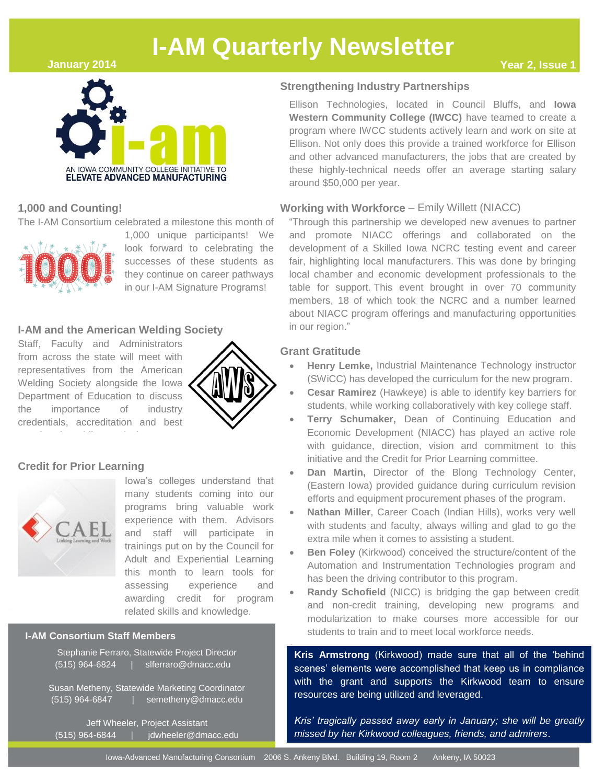## **January 2014**



# **1,000 and Counting!**

The I-AM Consortium celebrated a milestone this month of



1,000 unique participants! We look forward to celebrating the successes of these students as they continue on career pathways in our I-AM Signature Programs!

## **I-AM and the American Welding Society**

Staff, Faculty and Administrators from across the state will meet with representatives from the American Welding Society alongside the Iowa Department of Education to discuss the importance of industry credentials, accreditation and best



## **Credit for Prior Learning**

practices in welding curriculum



Iowa's colleges understand that many students coming into our programs bring valuable work experience with them. Advisors and staff will participate in trainings put on by the Council for Adult and Experiential Learning this month to learn tools for assessing experience and awarding credit for program related skills and knowledge.

## **I-AM Consortium Staff Members**

|                  | Stephanie Ferraro, Statewide Project Director |
|------------------|-----------------------------------------------|
| (515) 964-6824 ' | slferraro@dmacc.edu                           |
|                  |                                               |

Susan Metheny, Statewide Marketing Coordinator (515) 964-6847 | semetheny@dmacc.edu

Jeff Wheeler, Project Assistant (515) 964-6844 | jdwheeler@dmacc.edu

## **Strengthening Industry Partnerships**

Ellison Technologies, located in Council Bluffs, and **Iowa Western Community College (IWCC)** have teamed to create a program where IWCC students actively learn and work on site at Ellison. Not only does this provide a trained workforce for Ellison and other advanced manufacturers, the jobs that are created by these highly-technical needs offer an average starting salary around \$50,000 per year.

## **Working with Workforce** – Emily Willett (NIACC)

"Through this partnership we developed new avenues to partner and promote NIACC offerings and collaborated on the development of a Skilled Iowa NCRC testing event and career fair, highlighting local manufacturers. This was done by bringing local chamber and economic development professionals to the table for support. This event brought in over 70 community members, 18 of which took the NCRC and a number learned about NIACC program offerings and manufacturing opportunities in our region."

### **Grant Gratitude**

- **Henry Lemke,** Industrial Maintenance Technology instructor (SWiCC) has developed the curriculum for the new program.
- **Cesar Ramirez** (Hawkeye) is able to identify key barriers for students, while working collaboratively with key college staff.
- **Terry Schumaker,** Dean of Continuing Education and Economic Development (NIACC) has played an active role with guidance, direction, vision and commitment to this initiative and the Credit for Prior Learning committee.
- **Dan Martin,** Director of the Blong Technology Center, (Eastern Iowa) provided guidance during curriculum revision efforts and equipment procurement phases of the program.
- **Nathan Miller**, Career Coach (Indian Hills), works very well with students and faculty, always willing and glad to go the extra mile when it comes to assisting a student.
- **Ben Foley** (Kirkwood) conceived the structure/content of the Automation and Instrumentation Technologies program and has been the driving contributor to this program.
- **Randy Schofield** (NICC) is bridging the gap between credit and non-credit training, developing new programs and modularization to make courses more accessible for our students to train and to meet local workforce needs.

ŕ **Kris Armstrong** (Kirkwood) made sure that all of the 'behind scenes' elements were accomplished that keep us in compliance with the grant and supports the Kirkwood team to ensure resources are being utilized and leveraged.

*Kris' tragically passed away early in January; she will be greatly missed by her Kirkwood colleagues, friends, and admirers*.